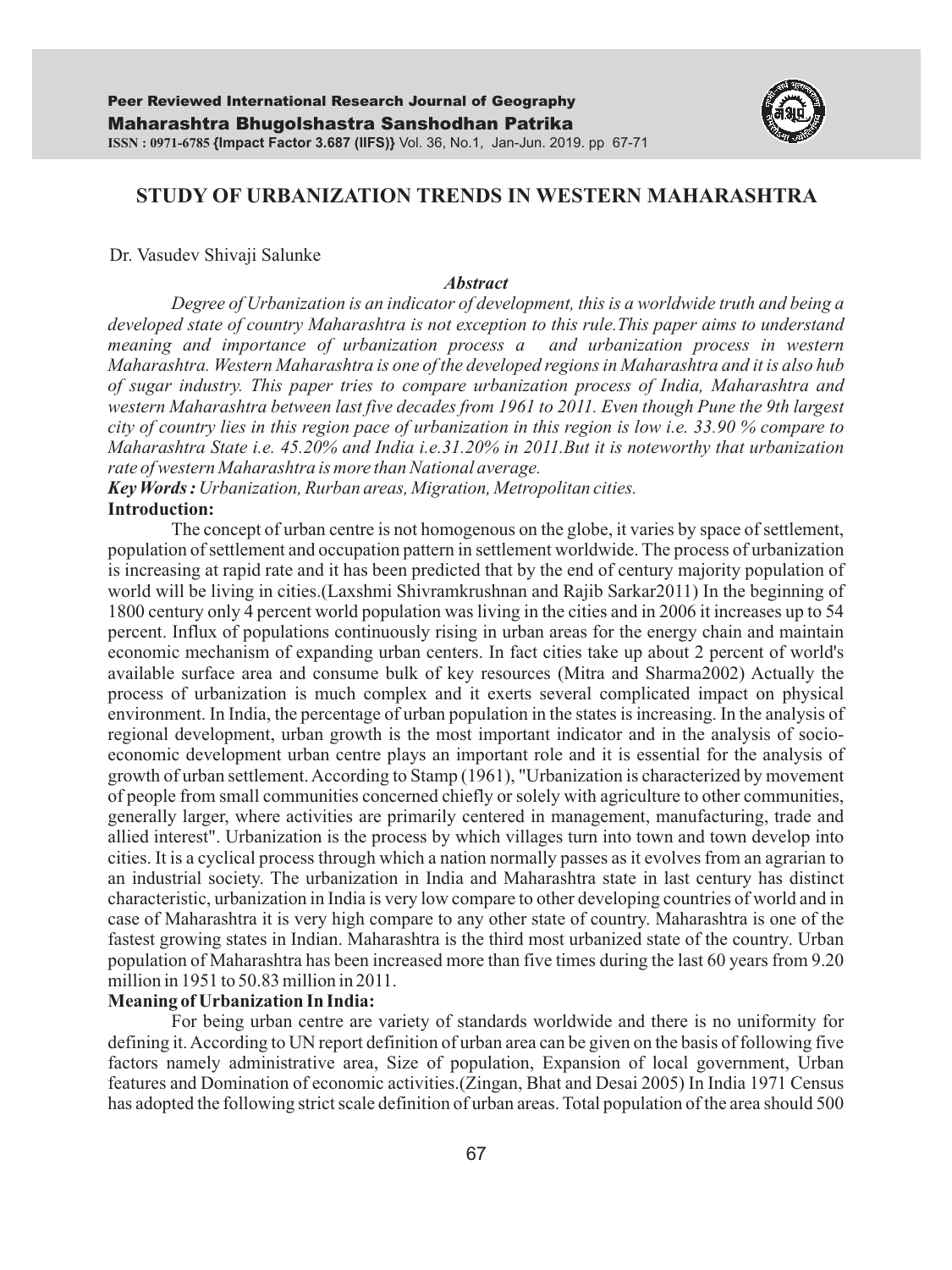

# **STUDY OF URBANIZATION TRENDS IN WESTERN MAHARASHTRA**

Dr. Vasudev Shivaji Salunke

#### *Abstract*

*Degree of Urbanization is an indicator of development, this is a worldwide truth and being a developed state of country Maharashtra is not exception to this rule.This paper aims to understand meaning and importance of urbanization process a and urbanization process in western Maharashtra. Western Maharashtra is one of the developed regions in Maharashtra and it is also hub of sugar industry. This paper tries to compare urbanization process of India, Maharashtra and western Maharashtra between last five decades from 1961 to 2011. Even though Pune the 9th largest city of country lies in this region pace of urbanization in this region is low i.e. 33.90 % compare to Maharashtra State i.e. 45.20% and India i.e.31.20% in 2011.But it is noteworthy that urbanization rate of western Maharashtra is more than National average.*

*Key Words : Urbanization, Rurban areas, Migration, Metropolitan cities.* **Introduction:**

The concept of urban centre is not homogenous on the globe, it varies by space of settlement, population of settlement and occupation pattern in settlement worldwide. The process of urbanization is increasing at rapid rate and it has been predicted that by the end of century majority population of world will be living in cities.(Laxshmi Shivramkrushnan and Rajib Sarkar2011) In the beginning of 1800 century only 4 percent world population was living in the cities and in 2006 it increases up to 54 percent. Influx of populations continuously rising in urban areas for the energy chain and maintain economic mechanism of expanding urban centers. In fact cities take up about 2 percent of world's available surface area and consume bulk of key resources (Mitra and Sharma2002) Actually the process of urbanization is much complex and it exerts several complicated impact on physical environment. In India, the percentage of urban population in the states is increasing. In the analysis of regional development, urban growth is the most important indicator and in the analysis of socioeconomic development urban centre plays an important role and it is essential for the analysis of growth of urban settlement. According to Stamp (1961), "Urbanization is characterized by movement of people from small communities concerned chiefly or solely with agriculture to other communities, generally larger, where activities are primarily centered in management, manufacturing, trade and allied interest". Urbanization is the process by which villages turn into town and town develop into cities. It is a cyclical process through which a nation normally passes as it evolves from an agrarian to an industrial society. The urbanization in India and Maharashtra state in last century has distinct characteristic, urbanization in India is very low compare to other developing countries of world and in case of Maharashtra it is very high compare to any other state of country. Maharashtra is one of the fastest growing states in Indian. Maharashtra is the third most urbanized state of the country. Urban population of Maharashtra has been increased more than five times during the last 60 years from 9.20 million in 1951 to 50.83 million in 2011.

# **Meaning of Urbanization In India:**

For being urban centre are variety of standards worldwide and there is no uniformity for defining it. According to UN report definition of urban area can be given on the basis of following five factors namely administrative area, Size of population, Expansion of local government, Urban features and Domination of economic activities.(Zingan, Bhat and Desai 2005) In India 1971 Census has adopted the following strict scale definition of urban areas. Total population of the area should 500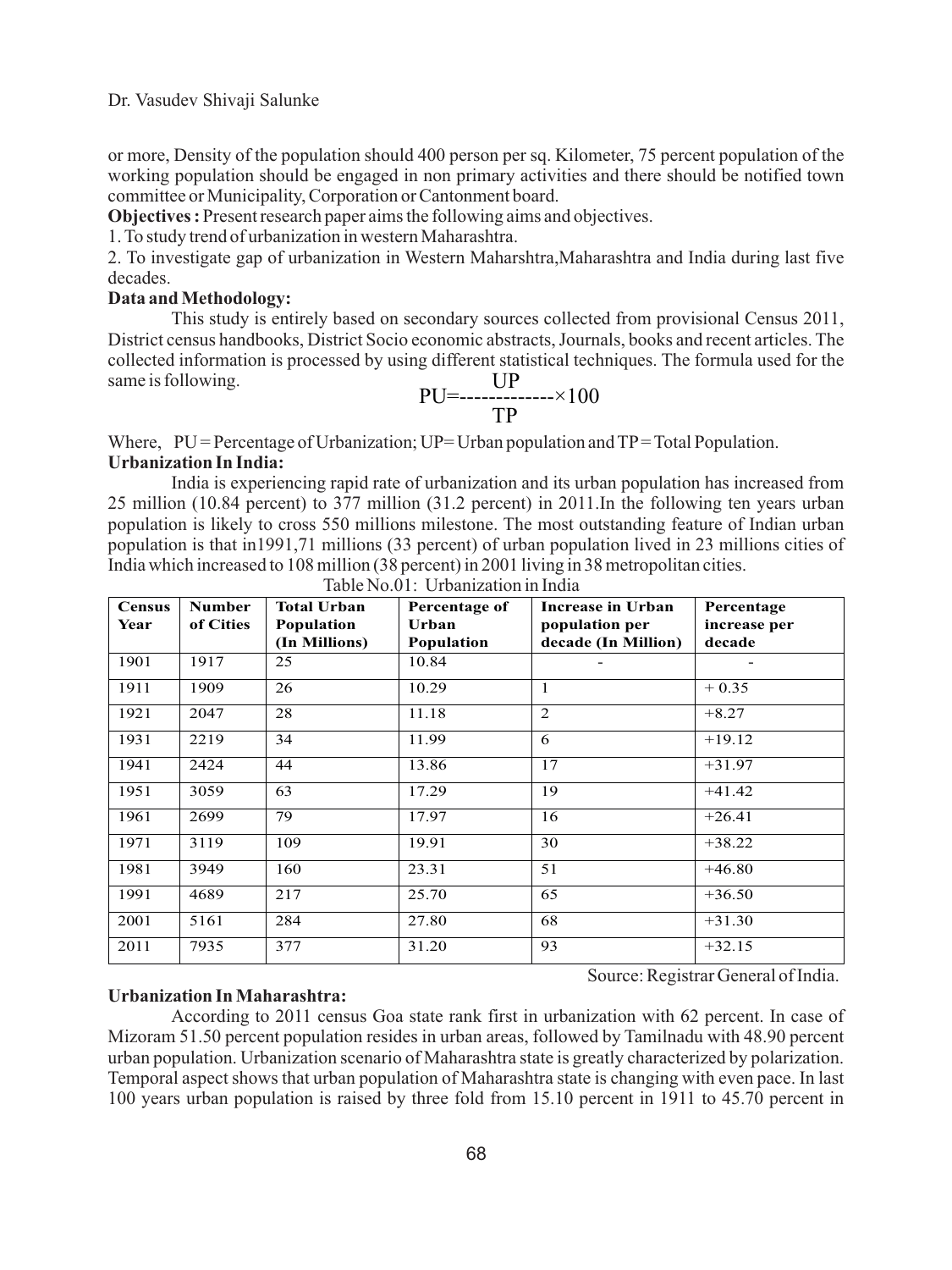or more, Density of the population should 400 person per sq. Kilometer, 75 percent population of the working population should be engaged in non primary activities and there should be notified town committee or Municipality, Corporation or Cantonment board.

**Objectives :** Present research paper aims the following aims and objectives.

1. To study trend of urbanization in western Maharashtra.

2. To investigate gap of urbanization in Western Maharshtra,Maharashtra and India during last five decades.

# **Data and Methodology:**

This study is entirely based on secondary sources collected from provisional Census 2011, District census handbooks, District Socio economic abstracts, Journals, books and recent articles. The collected information is processed by using different statistical techniques. The formula used for the same is following. **UP** 

$$
PU = \frac{U}{TP} \times 100
$$

Where,  $PU =$  Percentage of Urbanization;  $UP =$  Urban population and  $TP =$  Total Population. **Urbanization In India:**

India is experiencing rapid rate of urbanization and its urban population has increased from 25 million (10.84 percent) to 377 million (31.2 percent) in 2011.In the following ten years urban population is likely to cross 550 millions milestone. The most outstanding feature of Indian urban population is that in1991,71 millions (33 percent) of urban population lived in 23 millions cities of India which increased to 108 million (38 percent) in 2001 living in 38 metropolitan cities.

| <b>Census</b> | <b>Number</b> | <b>Total Urban</b> | Percentage of | Increase in Urban   | Percentage   |
|---------------|---------------|--------------------|---------------|---------------------|--------------|
| Year          | of Cities     | Population         | Urban         | population per      | increase per |
|               |               | (In Millions)      | Population    | decade (In Million) | decade       |
| 1901          | 1917          | 25                 | 10.84         |                     |              |
| 1911          | 1909          | 26                 | 10.29         | 1                   | $+0.35$      |
| 1921          | 2047          | 28                 | 11.18         | 2                   | $+8.27$      |
| 1931          | 2219          | 34                 | 11.99         | 6                   | $+19.12$     |
| 1941          | 2424          | 44                 | 13.86         | 17                  | $+31.97$     |
| 1951          | 3059          | 63                 | 17.29         | 19                  | $+41.42$     |
| 1961          | 2699          | 79                 | 17.97         | 16                  | $+26.41$     |
| 1971          | 3119          | 109                | 19.91         | 30                  | $+38.22$     |
| 1981          | 3949          | 160                | 23.31         | 51                  | $+46.80$     |
| 1991          | 4689          | 217                | 25.70         | 65                  | $+36.50$     |
| 2001          | 5161          | 284                | 27.80         | 68                  | $+31.30$     |
| 2011          | 7935          | 377                | 31.20         | 93                  | $+32.15$     |

Table No.01: Urbanization in India

**Urbanization In Maharashtra:**

According to 2011 census Goa state rank first in urbanization with 62 percent. In case of Mizoram 51.50 percent population resides in urban areas, followed by Tamilnadu with 48.90 percent urban population. Urbanization scenario of Maharashtra state is greatly characterized by polarization. Temporal aspect shows that urban population of Maharashtra state is changing with even pace. In last 100 years urban population is raised by three fold from 15.10 percent in 1911 to 45.70 percent in

Source: Registrar General of India.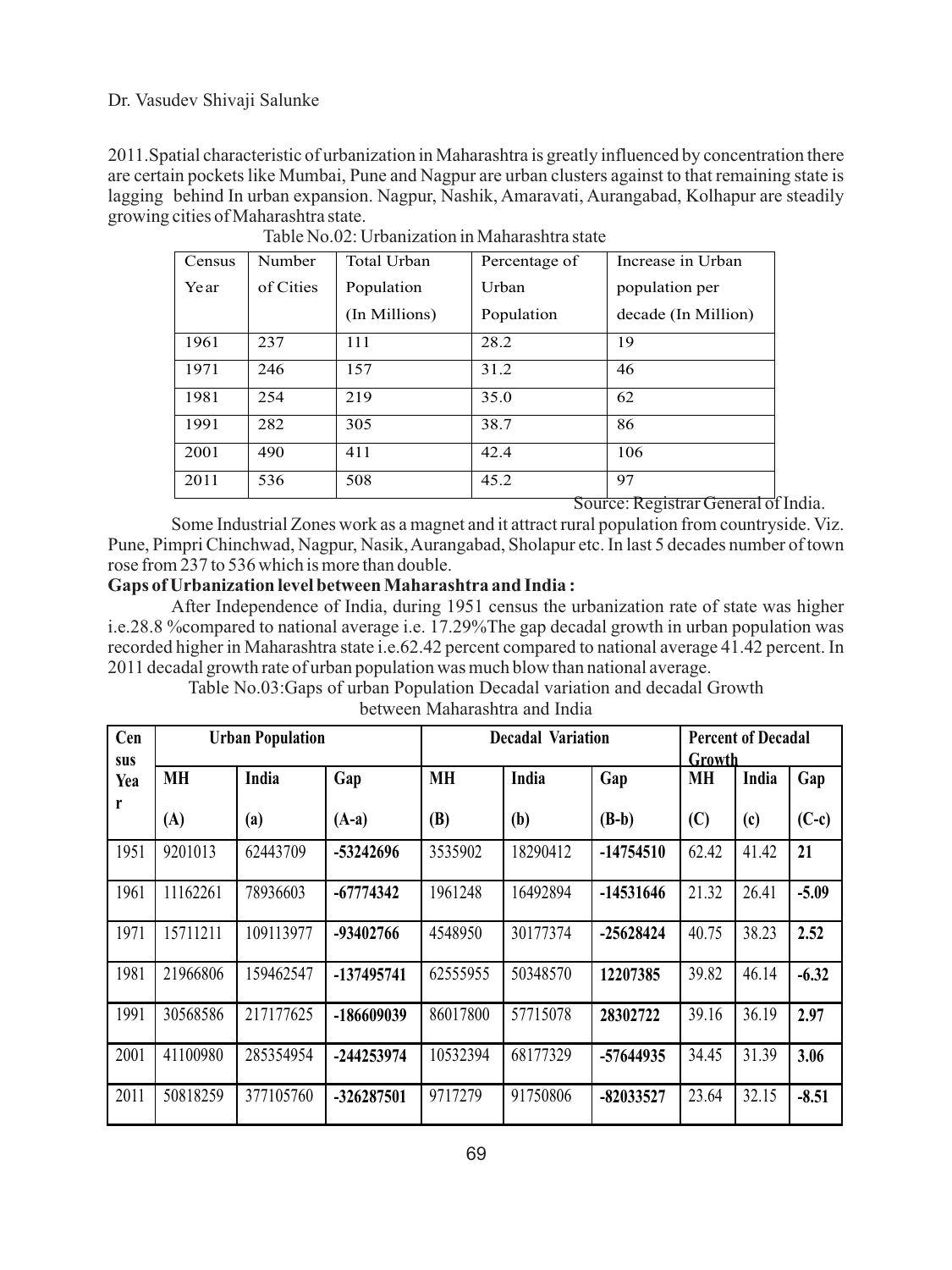Dr. Vasudev Shivaji Salunke

2011.Spatial characteristic of urbanization in Maharashtra is greatly influenced by concentration there are certain pockets like Mumbai, Pune and Nagpur are urban clusters against to that remaining state is lagging behind In urban expansion. Nagpur, Nashik, Amaravati, Aurangabad, Kolhapur are steadily growing cities of Maharashtra state.

| Census | Number    | <b>Total Urban</b> | Percentage of | Increase in Urban   |
|--------|-----------|--------------------|---------------|---------------------|
| Year   | of Cities | Population         | Urban         | population per      |
|        |           | (In Millions)      | Population    | decade (In Million) |
| 1961   | 237       | 111                | 28.2          | 19                  |
| 1971   | 246       | 157                | 31.2          | 46                  |
| 1981   | 254       | 219                | 35.0          | 62                  |
| 1991   | 282       | 305                | 38.7          | 86                  |
| 2001   | 490       | 411                | 42.4          | 106                 |
| 2011   | 536       | 508                | 45.2          | 97                  |

Source: Registrar General of India.

Some Industrial Zones work as a magnet and it attract rural population from countryside. Viz. Pune, Pimpri Chinchwad, Nagpur, Nasik, Aurangabad, Sholapur etc. In last 5 decades number of town rose from 237 to 536 which is more than double.

# **Gaps of Urbanization level between Maharashtra and India :**

After Independence of India, during 1951 census the urbanization rate of state was higher i.e.28.8 %compared to national average i.e. 17.29%The gap decadal growth in urban population was recorded higher in Maharashtra state i.e.62.42 percent compared to national average 41.42 percent. In 2011 decadal growth rate of urban population was much blow than national average.

> Table No.03:Gaps of urban Population Decadal variation and decadal Growth between Maharashtra and India

| Cen<br>sus | <b>Urban Population</b> |           |             | <b>Decadal Variation</b> |          |             | <b>Percent of Decadal</b><br>Growth |       |         |
|------------|-------------------------|-----------|-------------|--------------------------|----------|-------------|-------------------------------------|-------|---------|
| Yea        | <b>MH</b>               | India     | Gap         | <b>MH</b>                | India    | Gap         | <b>MH</b>                           | India | Gap     |
| r          | (A)                     | (a)       | $(A-a)$     | <b>(B)</b>               | (b)      | $(B-b)$     | (C)                                 | (c)   | $(C-c)$ |
| 1951       | 9201013                 | 62443709  | -53242696   | 3535902                  | 18290412 | $-14754510$ | 62.42                               | 41.42 | 21      |
| 1961       | 11162261                | 78936603  | $-67774342$ | 1961248                  | 16492894 | $-14531646$ | 21.32                               | 26.41 | $-5.09$ |
| 1971       | 15711211                | 109113977 | -93402766   | 4548950                  | 30177374 | $-25628424$ | 40.75                               | 38.23 | 2.52    |
| 1981       | 21966806                | 159462547 | -137495741  | 62555955                 | 50348570 | 12207385    | 39.82                               | 46.14 | $-6.32$ |
| 1991       | 30568586                | 217177625 | -186609039  | 86017800                 | 57715078 | 28302722    | 39.16                               | 36.19 | 2.97    |
| 2001       | 41100980                | 285354954 | -244253974  | 10532394                 | 68177329 | -57644935   | 34.45                               | 31.39 | 3.06    |
| 2011       | 50818259                | 377105760 | -326287501  | 9717279                  | 91750806 | $-82033527$ | 23.64                               | 32.15 | $-8.51$ |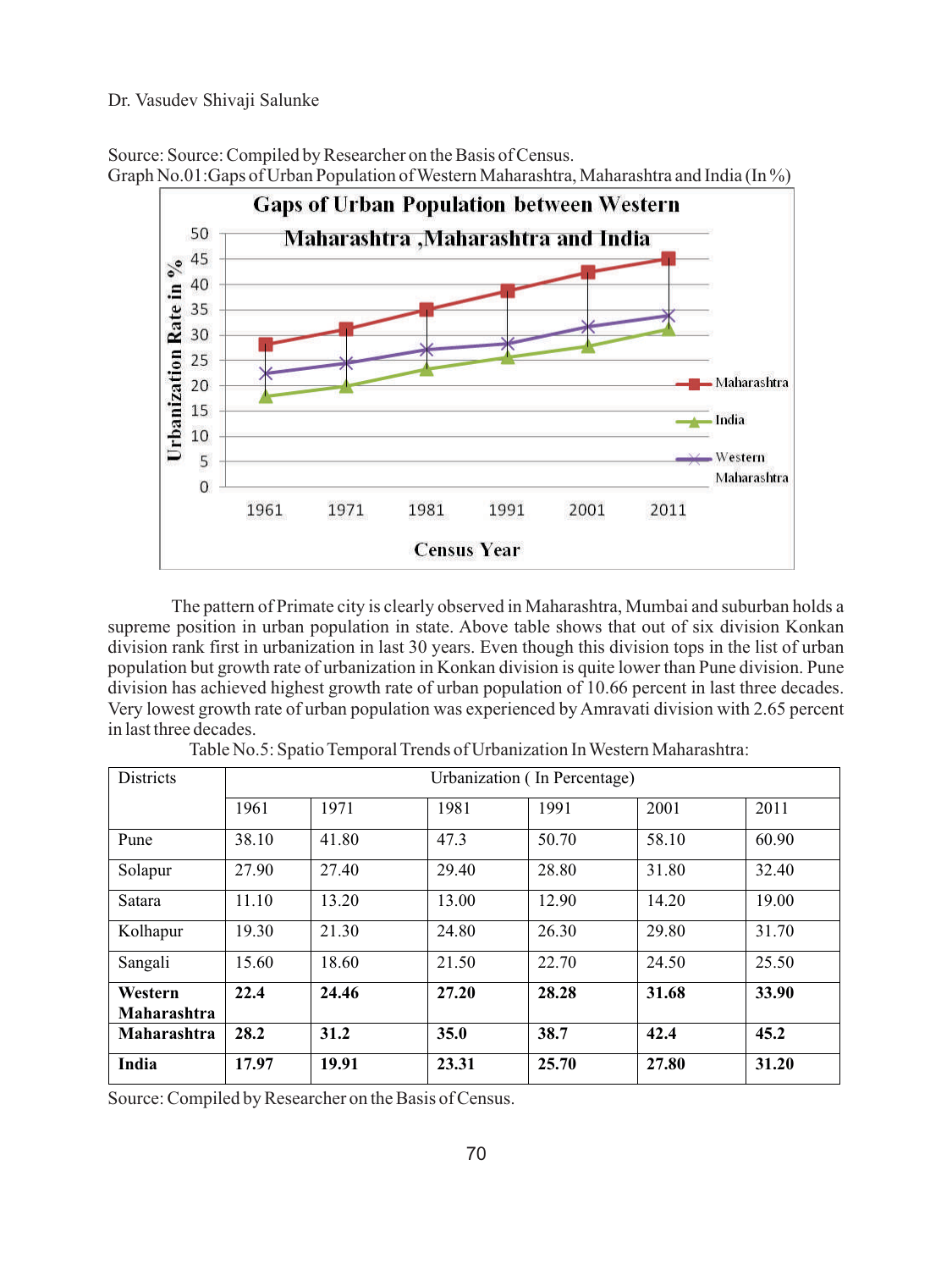### Dr. Vasudev Shivaji Salunke

Source: Source: Compiled by Researcher on the Basis of Census. Graph No.01:Gaps of Urban Population of Western Maharashtra, Maharashtra and India (In %)



The pattern of Primate city is clearly observed in Maharashtra, Mumbai and suburban holds a supreme position in urban population in state. Above table shows that out of six division Konkan division rank first in urbanization in last 30 years. Even though this division tops in the list of urban population but growth rate of urbanization in Konkan division is quite lower than Pune division. Pune division has achieved highest growth rate of urban population of 10.66 percent in last three decades. Very lowest growth rate of urban population was experienced by Amravati division with 2.65 percent in last three decades.

| <b>Districts</b>       | Urbanization (In Percentage) |       |       |       |       |       |  |  |
|------------------------|------------------------------|-------|-------|-------|-------|-------|--|--|
|                        | 1961                         | 1971  | 1981  | 1991  | 2001  | 2011  |  |  |
| Pune                   | 38.10                        | 41.80 | 47.3  | 50.70 | 58.10 | 60.90 |  |  |
| Solapur                | 27.90                        | 27.40 | 29.40 | 28.80 | 31.80 | 32.40 |  |  |
| Satara                 | 11.10                        | 13.20 | 13.00 | 12.90 | 14.20 | 19.00 |  |  |
| Kolhapur               | 19.30                        | 21.30 | 24.80 | 26.30 | 29.80 | 31.70 |  |  |
| Sangali                | 15.60                        | 18.60 | 21.50 | 22.70 | 24.50 | 25.50 |  |  |
| Western<br>Maharashtra | 22.4                         | 24.46 | 27.20 | 28.28 | 31.68 | 33.90 |  |  |
| <b>Maharashtra</b>     | 28.2                         | 31.2  | 35.0  | 38.7  | 42.4  | 45.2  |  |  |
| India                  | 17.97                        | 19.91 | 23.31 | 25.70 | 27.80 | 31.20 |  |  |

| Table No.5: Spatio Temporal Trends of Urbanization In Western Maharashtra: |  |  |  |  |  |
|----------------------------------------------------------------------------|--|--|--|--|--|
|----------------------------------------------------------------------------|--|--|--|--|--|

Source: Compiled by Researcher on the Basis of Census.